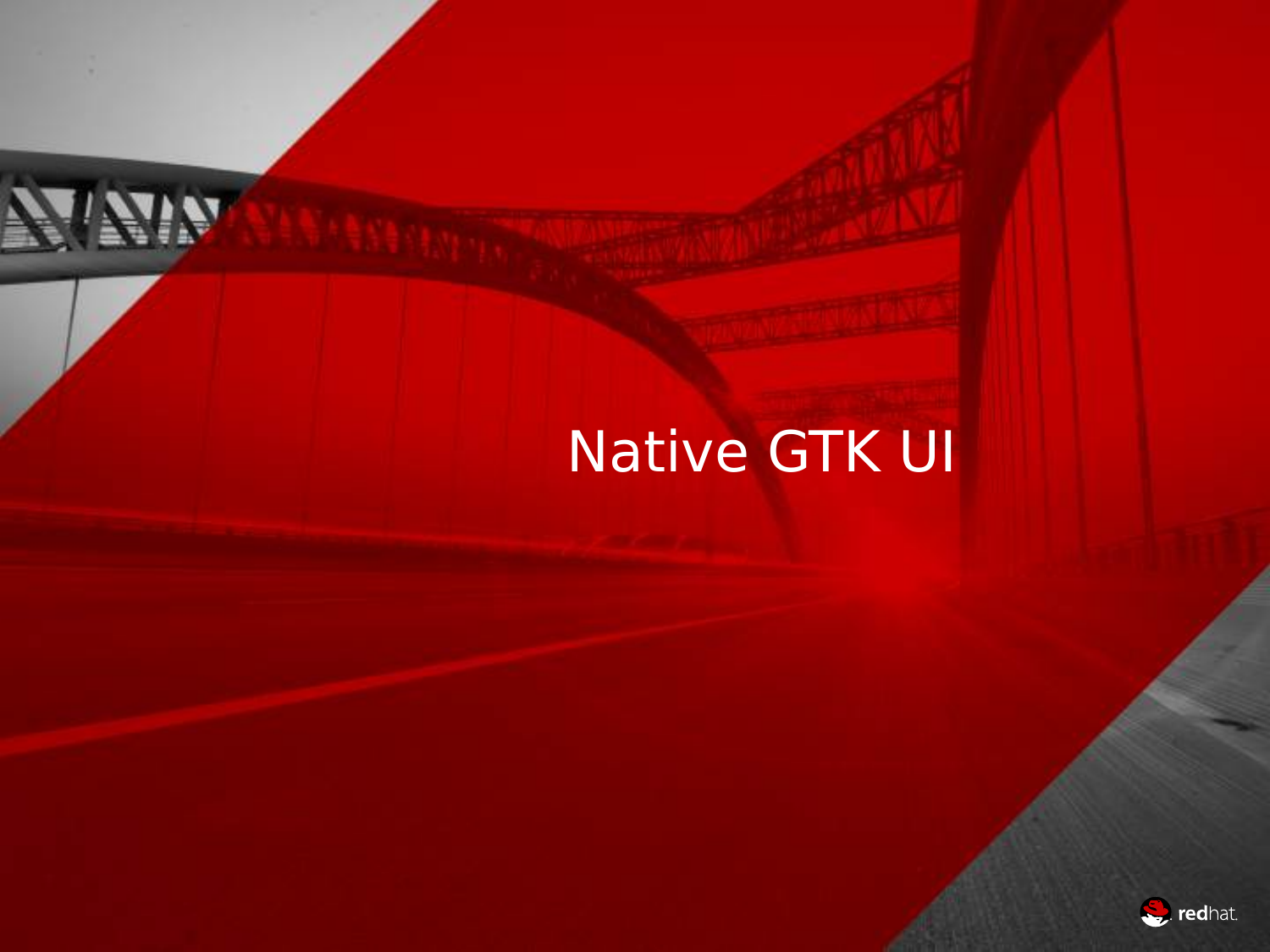# Native GTK UI

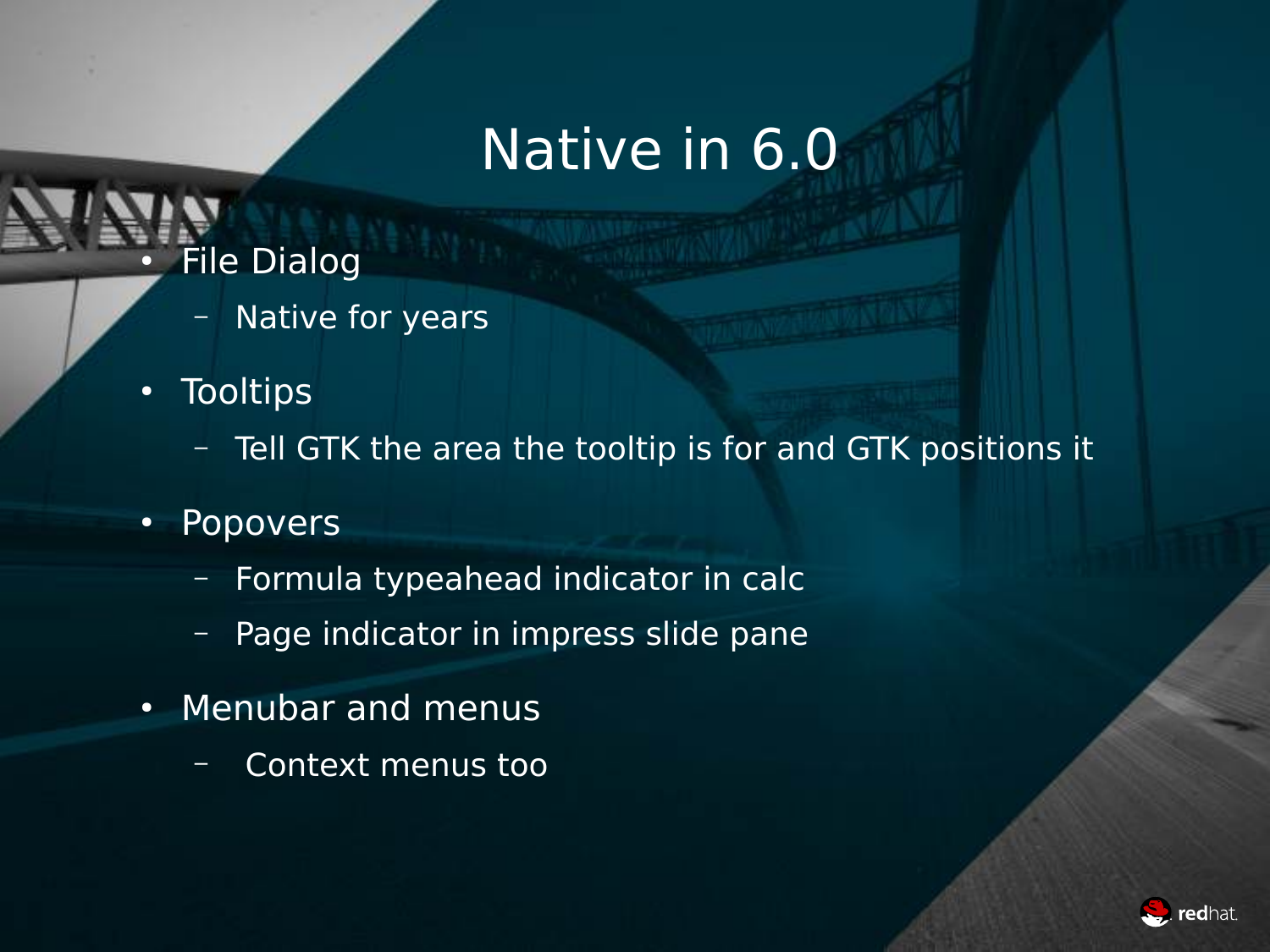- **File Dialog** 
	- Native for years
- Tooltips
	- Tell GTK the area the tooltip is for and GTK positions it
- Popovers
	- Formula typeahead indicator in calc
	- Page indicator in impress slide pane
- Menubar and menus
	- Context menus too

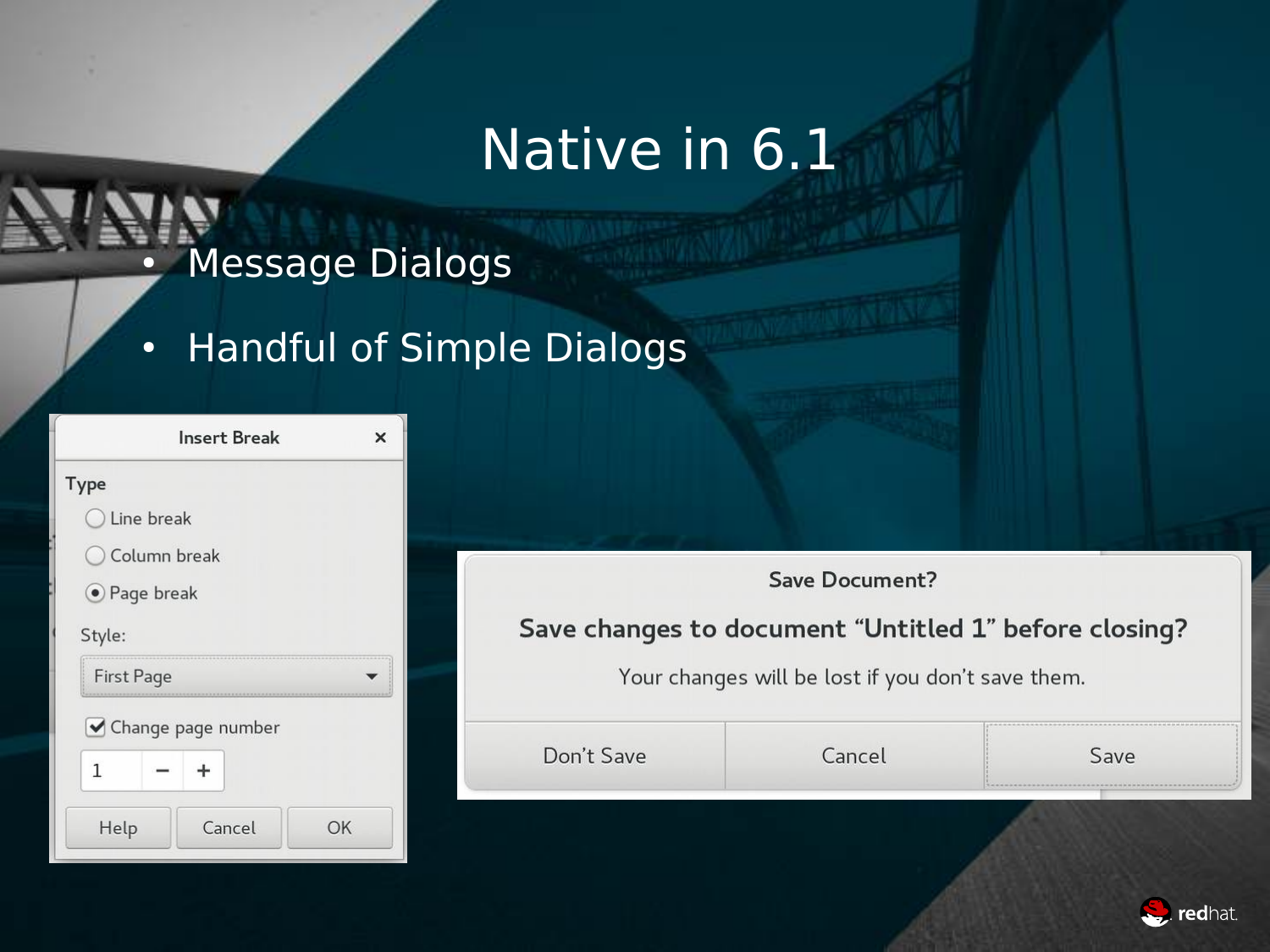#### • Message Dialogs

#### • Handful of Simple Dialogs

|                   | <b>Insert Break</b> |    |  |  |
|-------------------|---------------------|----|--|--|
| Type              |                     |    |  |  |
| Line break        |                     |    |  |  |
| Column break      |                     |    |  |  |
| ● Page break      |                     |    |  |  |
| Style:            |                     |    |  |  |
| <b>First Page</b> |                     |    |  |  |
|                   | Change page number  |    |  |  |
| 1                 |                     |    |  |  |
| Help              | Cancel              | OK |  |  |

| Save Document?                                        |  |
|-------------------------------------------------------|--|
| Save changes to document "Untitled 1" before closing? |  |
|                                                       |  |
| Your changes will be lost if you don't save them.     |  |

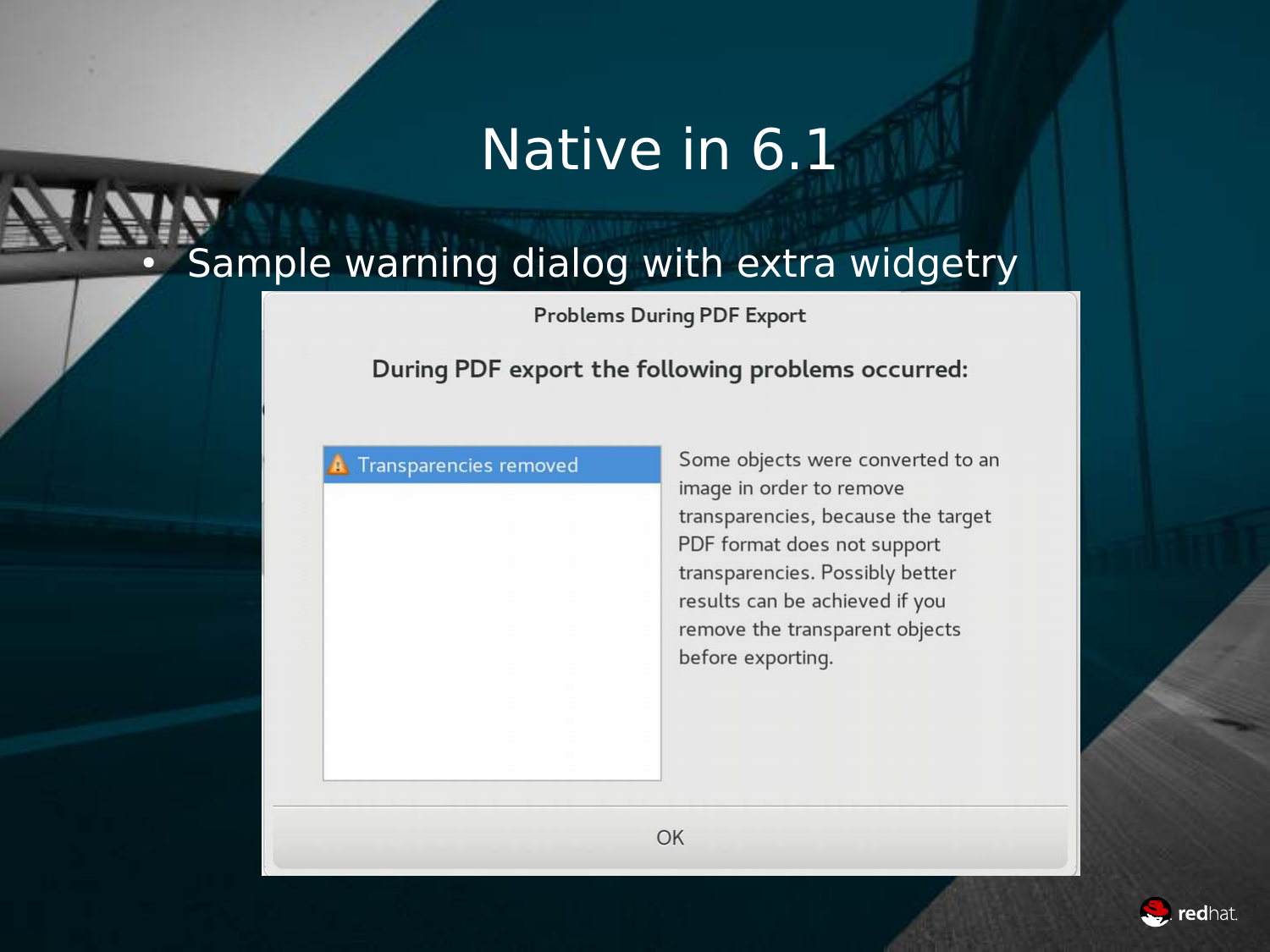#### Sample warning dialog with extra widgetry

**Problems During PDF Export** 

#### During PDF export the following problems occurred:

#### Transparencies removed

Some objects were converted to an image in order to remove transparencies, because the target PDF format does not support transparencies. Possibly better results can be achieved if you remove the transparent objects before exporting.

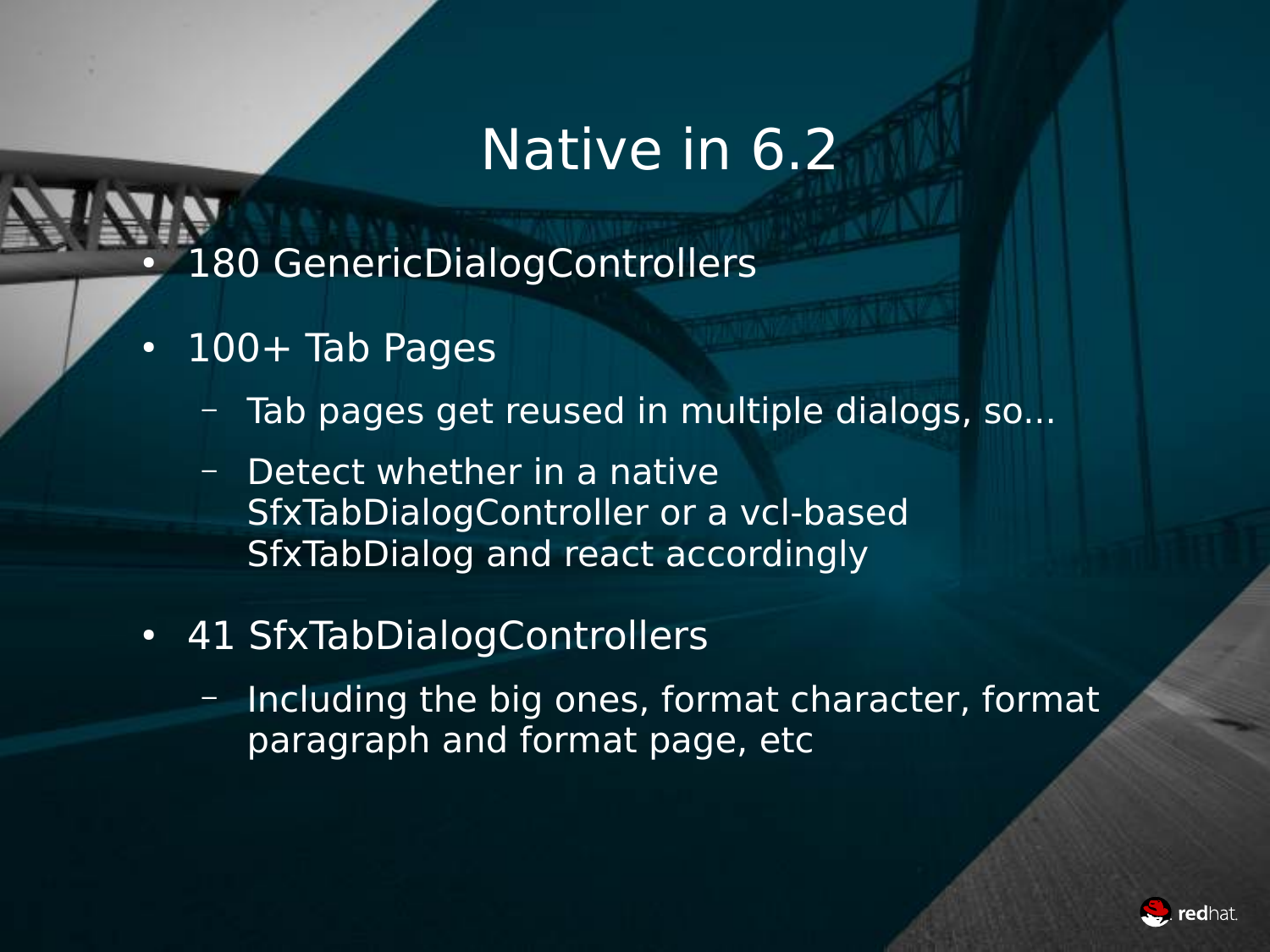- 180 GenericDialogControllers
- $\cdot$  100+ Tab Pages
	- Tab pages get reused in multiple dialogs, so...
	- Detect whether in a native SfxTabDialogController or a vcl-based SfxTabDialog and react accordingly
- 41 SfxTabDialogControllers
	- Including the big ones, format character, format paragraph and format page, etc

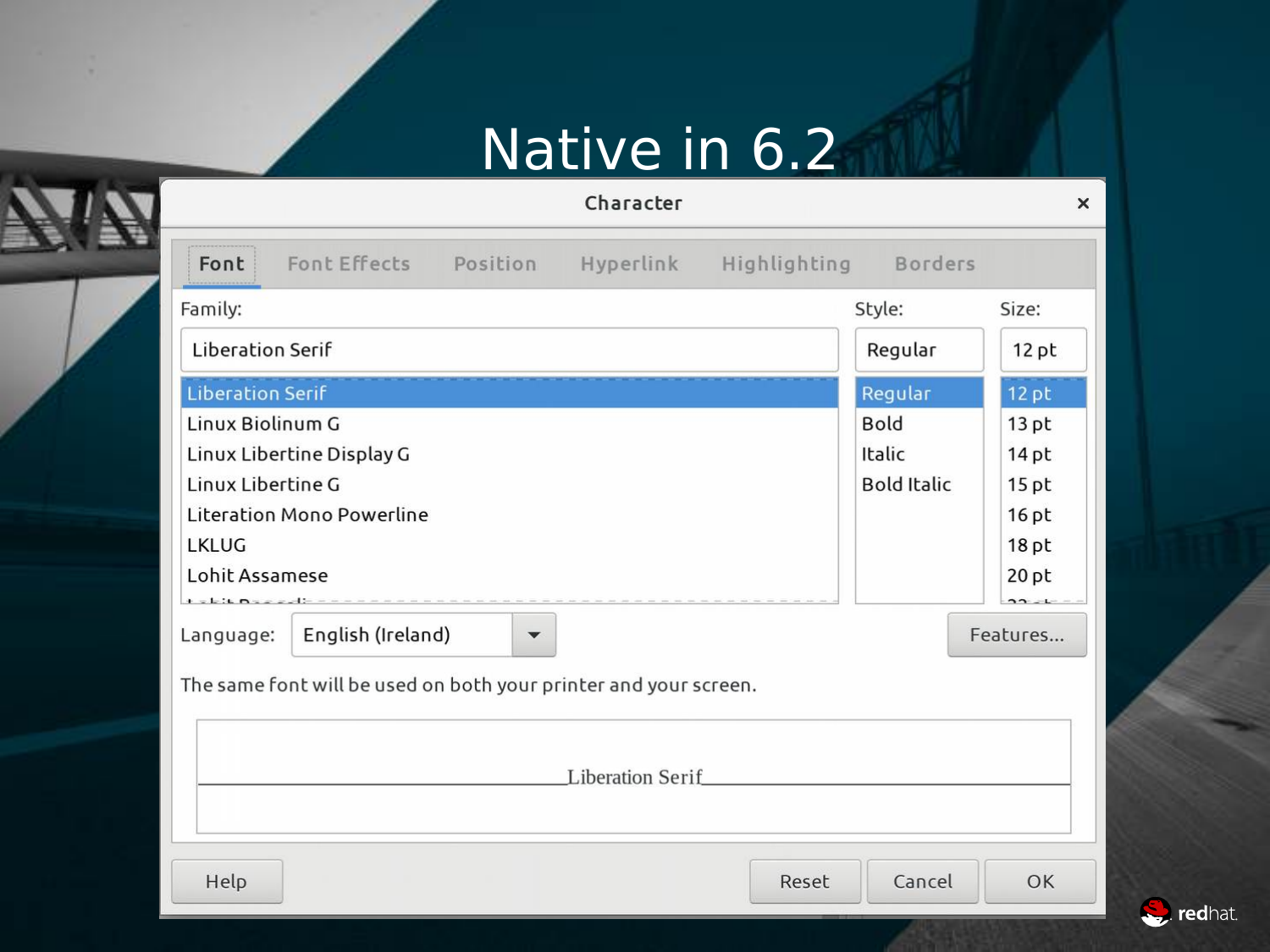#### Character

 $\pmb{\times}$ 

| Font Effects Position<br>Hyperlink<br>Font                       | Highlighting Borders |                  |
|------------------------------------------------------------------|----------------------|------------------|
| Family:                                                          | Style:               | Size:            |
| <b>Liberation Serif</b>                                          | Regular              | $12$ pt          |
| <b>Liberation Serif</b>                                          | Regular              | 12 pt            |
| Linux Biolinum G                                                 | <b>Bold</b>          | $13$ pt          |
| Linux Libertine Display G                                        | Italic               | 14 <sub>pt</sub> |
| Linux Libertine G                                                | <b>Bold Italic</b>   | 15 <sub>pt</sub> |
| <b>Literation Mono Powerline</b>                                 |                      | $16$ pt          |
| <b>LKLUG</b>                                                     |                      | 18 <sub>pt</sub> |
| Lohit Assamese<br>$+ -1.56$ m                                    |                      | $20$ pt          |
| English (Ireland)<br>Language:<br>$\blacktriangledown$           |                      | Features         |
| The same font will be used on both your printer and your screen. |                      |                  |
| <b>Liberation Serif</b>                                          |                      |                  |
| Help                                                             | Reset<br>Cancel      | OK               |

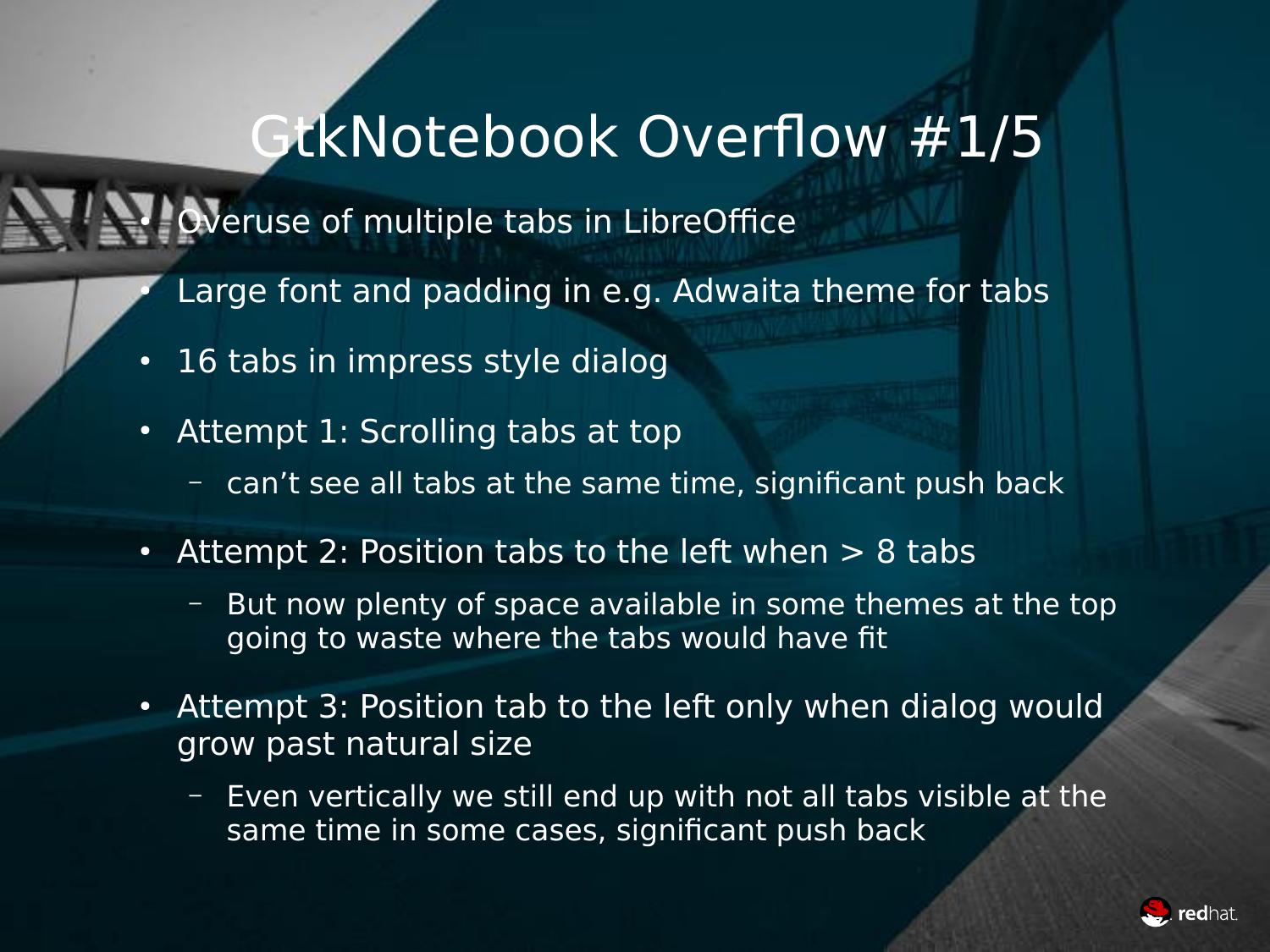#### GtkNotebook Overflow #1/5

Weruse of multiple tabs in LibreOffice

- Large font and padding in e.g. Adwaita theme for tabs
- 16 tabs in impress style dialog
- Attempt 1: Scrolling tabs at top
	- can't see all tabs at the same time, significant push back
- Attempt 2: Position tabs to the left when  $> 8$  tabs
	- But now plenty of space available in some themes at the top going to waste where the tabs would have fit
- Attempt 3: Position tab to the left only when dialog would grow past natural size
	- Even vertically we still end up with not all tabs visible at the same time in some cases, significant push back

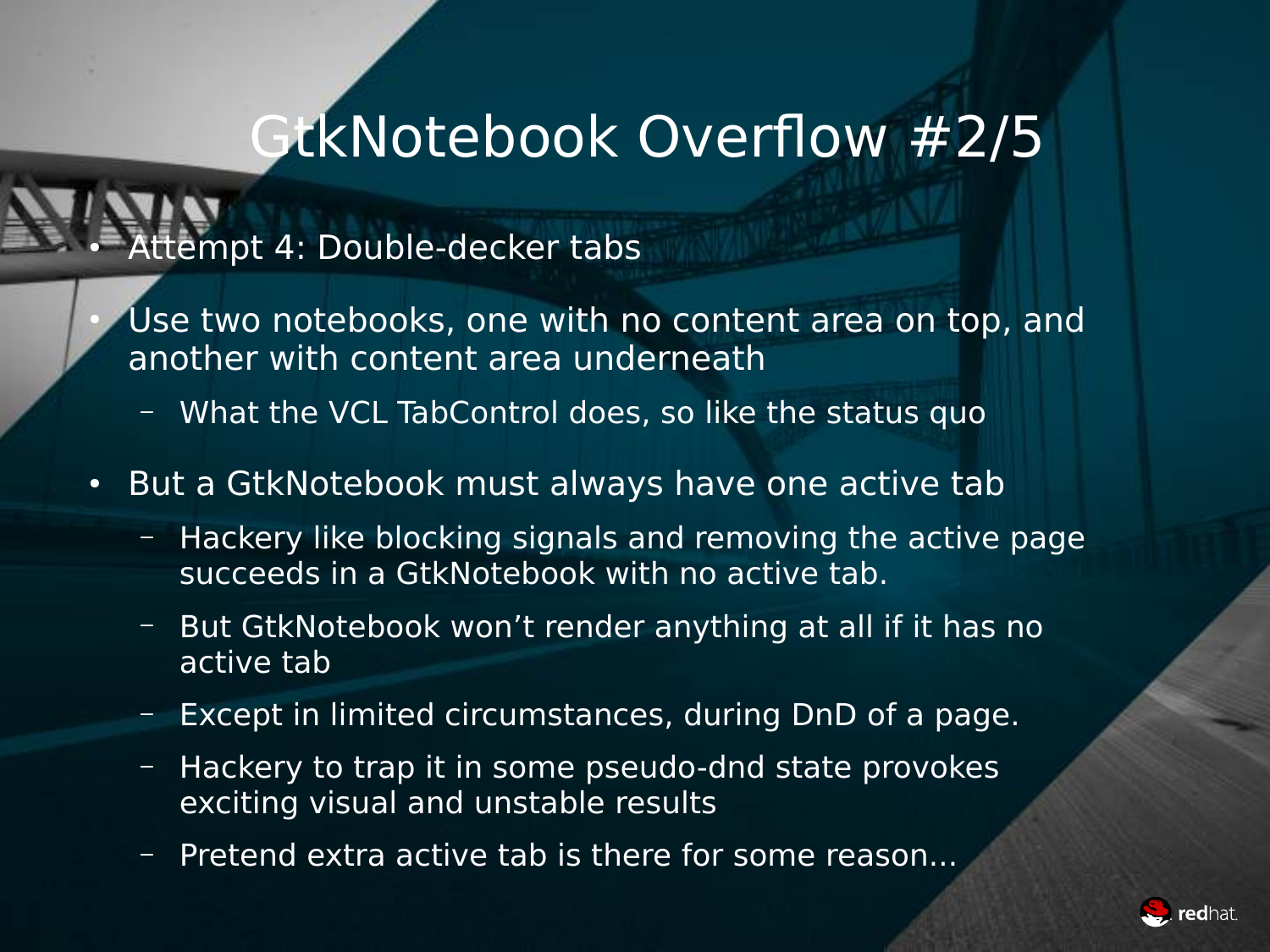#### GtkNotebook Overflow #2/5

#### Attempt 4: Double-decker tabs

- Use two notebooks, one with no content area on top, and another with content area underneath
	- What the VCL TabControl does, so like the status quo
- But a GtkNotebook must always have one active tab
	- Hackery like blocking signals and removing the active page succeeds in a GtkNotebook with no active tab.
	- But GtkNotebook won't render anything at all if it has no active tab
	- Except in limited circumstances, during DnD of a page.
	- Hackery to trap it in some pseudo-dnd state provokes exciting visual and unstable results
	- Pretend extra active tab is there for some reason...

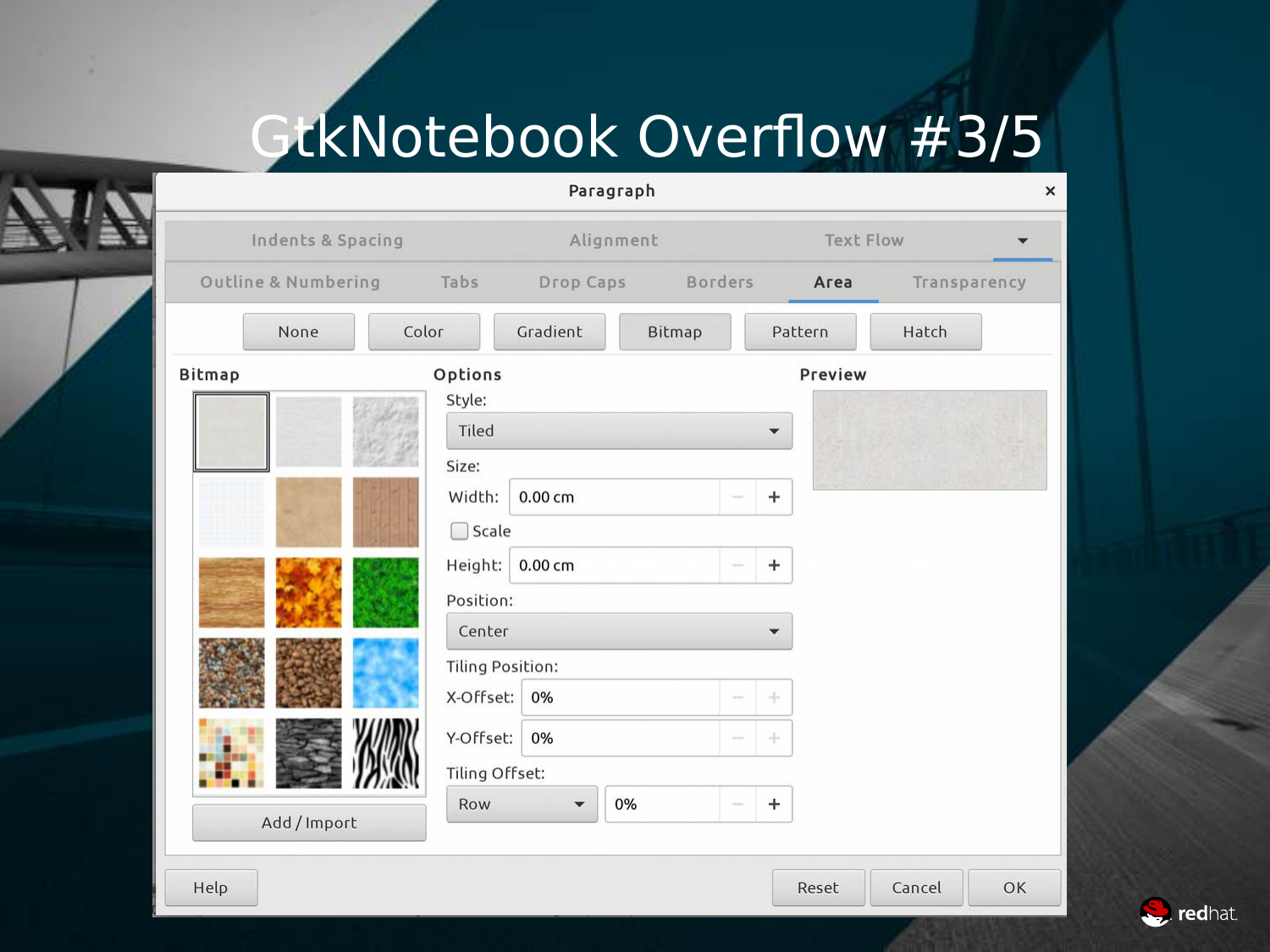## GtkNotebook Overflow #3/5

|               | Indents & Spacing   |                     |                                           | Alignment |               | Text Flow    |              |
|---------------|---------------------|---------------------|-------------------------------------------|-----------|---------------|--------------|--------------|
|               | Outline & Numbering | Tabs                | Drop Caps                                 |           | Borders       | Area         | Transparency |
|               | None                | Color               | Gradient                                  | Bitmap    |               | Pattern      | Hatch        |
| <b>Bitmap</b> |                     | Options<br>Style:   |                                           |           |               | Preview      |              |
|               |                     | Tiled<br>Size:      |                                           |           |               |              |              |
|               |                     | Width:              | $0.00 \text{ cm}$                         |           |               | $\pm$        |              |
|               |                     | □ Scale             |                                           |           |               |              |              |
|               |                     | Height:             | $0.00 \text{ cm}$                         |           | $\frac{1}{2}$ | $\pm$        |              |
|               |                     | Position:<br>Center |                                           |           |               | $\checkmark$ |              |
|               |                     |                     | <b>Tiling Position:</b>                   |           |               |              |              |
|               |                     | X-Offset:           | 0%                                        |           | $\sim$        | ÷            |              |
|               |                     | Y-Offset:           | 0%                                        |           | $\sim$        | 눈            |              |
|               |                     | Row                 | Tiling Offset:<br>$\overline{\mathbf{v}}$ | 0%        |               | $\pm$        |              |
|               | Add / Import        |                     |                                           |           |               |              |              |

See redhat.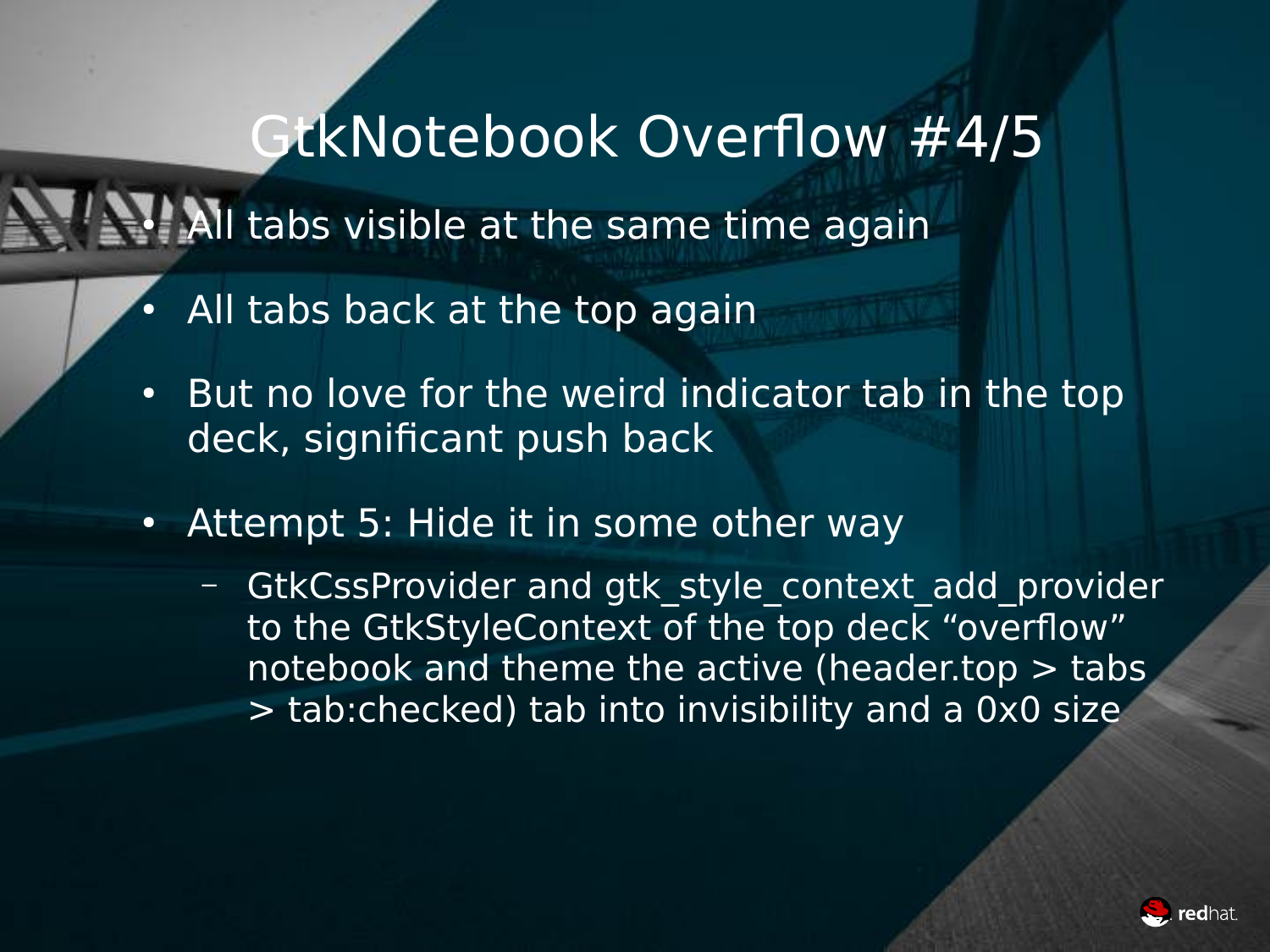#### GtkNotebook Overflow #4/5

**All tabs visible at the same time again** 

- All tabs back at the top again
- But no love for the weird indicator tab in the top deck, significant push back
- Attempt 5: Hide it in some other way
	- GtkCssProvider and gtk style context add provider to the GtkStyleContext of the top deck "overflow" notebook and theme the active (header.top  $>$  tabs > tab:checked) tab into invisibility and a 0x0 size

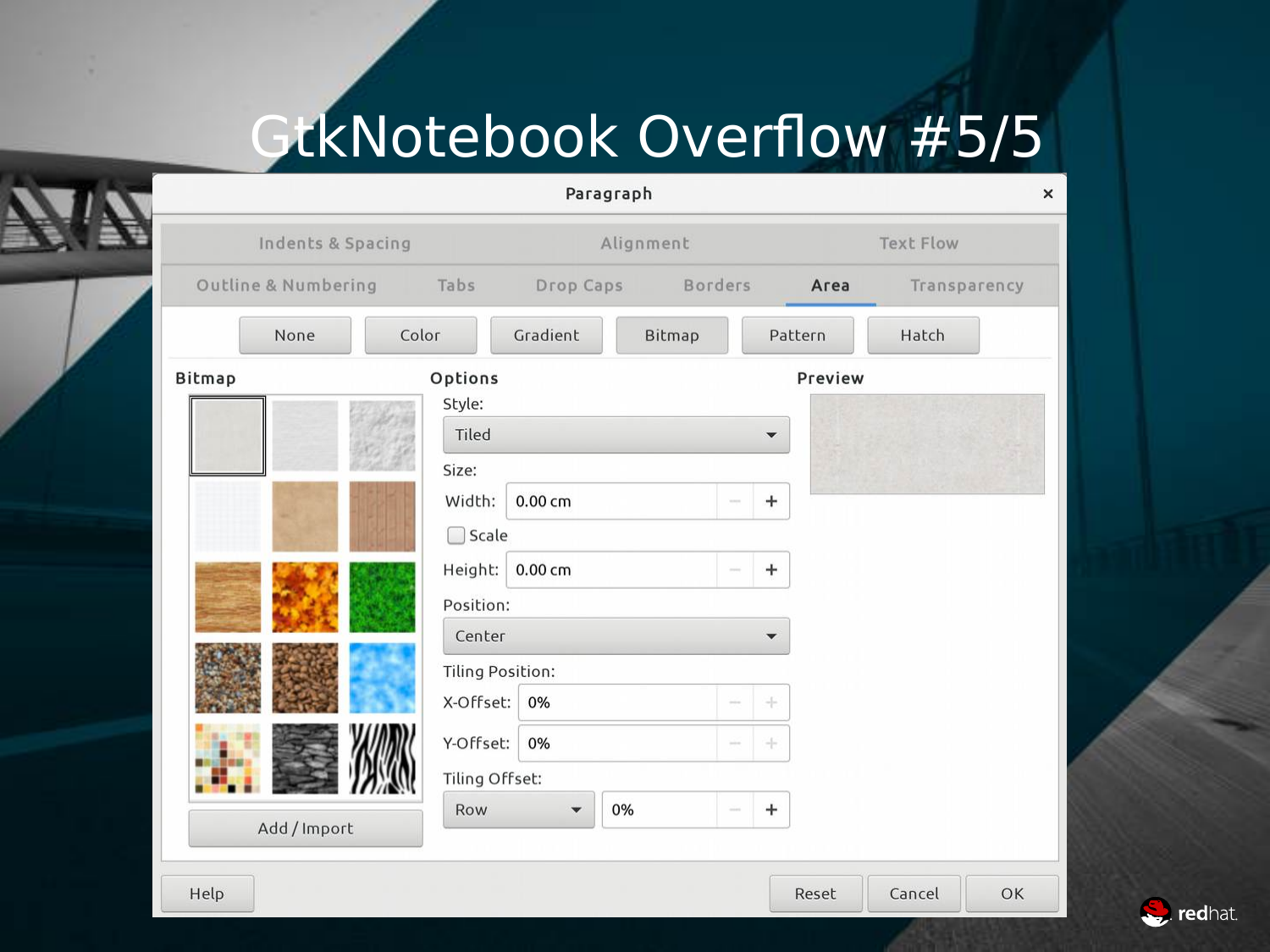# GtkNotebook Overflow #5/5

| Indents & Spacing   |                 |                         | Alignment |                          |         | <b>Text Flow</b> |  |
|---------------------|-----------------|-------------------------|-----------|--------------------------|---------|------------------|--|
|                     |                 |                         |           |                          |         |                  |  |
| Outline & Numbering | Tabs            | Drop Caps               | Borders   |                          | Area    | Transparency     |  |
| None                | Color           | Gradient                | Bitmap    |                          | Pattern | Hatch            |  |
| <b>Bitmap</b>       | Options         |                         |           |                          | Preview |                  |  |
|                     | Style:          |                         |           |                          |         |                  |  |
|                     | Tiled           |                         |           | $\overline{\phantom{a}}$ |         |                  |  |
|                     | Size:<br>Width: | $0.00 \text{ cm}$       |           | $\ddot{}$                |         |                  |  |
|                     | $\Box$ Scale    |                         |           |                          |         |                  |  |
|                     | Height:         | $0.00 \text{ cm}$       |           | $\ddot{}$                |         |                  |  |
|                     | Position:       |                         |           |                          |         |                  |  |
|                     | Center          |                         |           | $\overline{\mathbf{v}}$  |         |                  |  |
|                     |                 | <b>Tiling Position:</b> |           |                          |         |                  |  |
|                     | X-Offset:       | 0%                      |           | $\div$                   |         |                  |  |
|                     | Y-Offset:       | 0%                      |           | $\div$                   |         |                  |  |
|                     |                 | Tiling Offset:          |           |                          |         |                  |  |
| Add / Import        | Row             | $\blacktriangledown$    | 0%        | $\ddot{}$                |         |                  |  |
|                     |                 |                         |           |                          |         |                  |  |

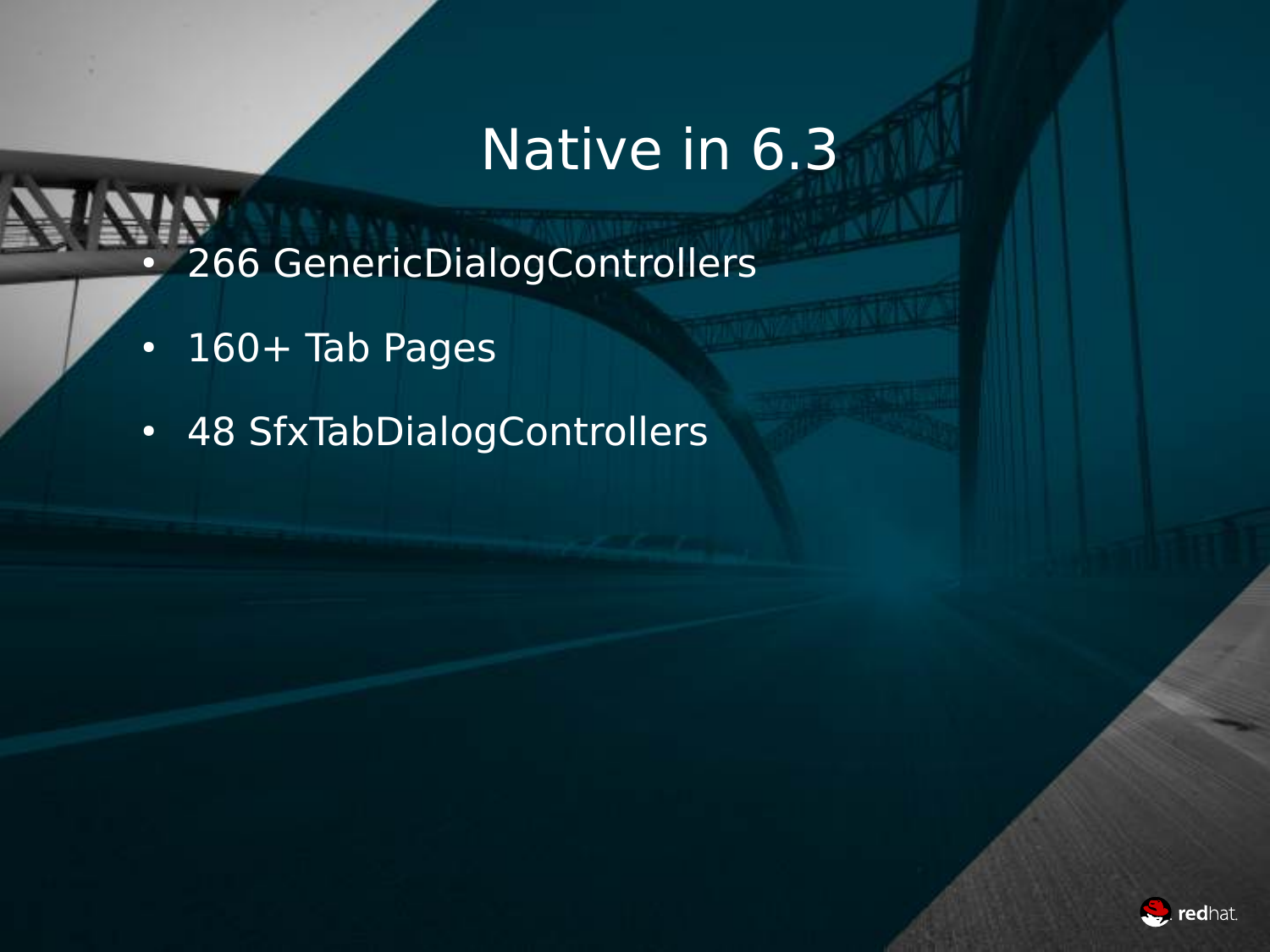- 266 GenericDialogControllers
- $\cdot$  160+ Tab Pages
- 48 SfxTabDialogControllers

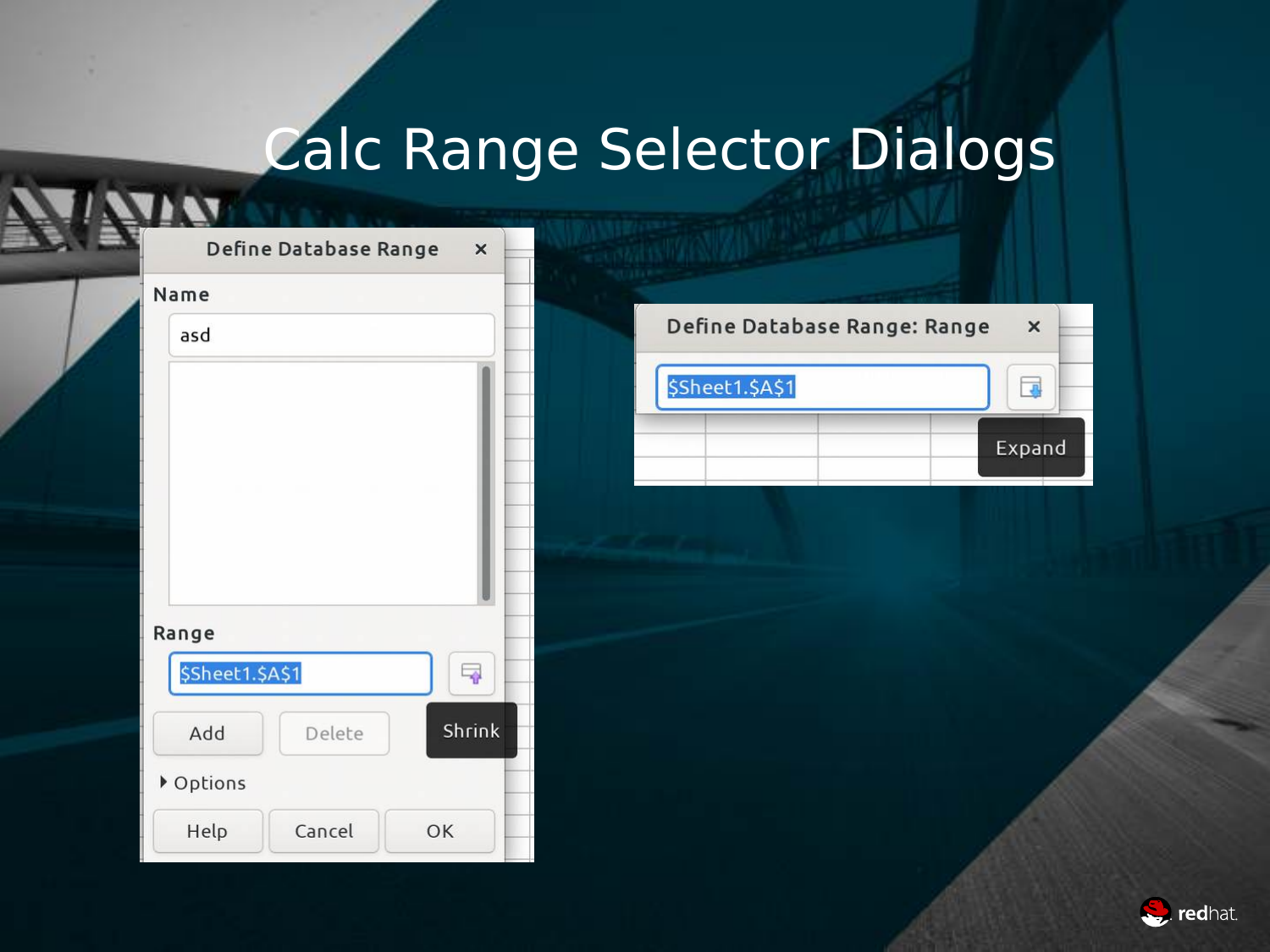# Calc Range Selector Dialogs

|                 | Define Database Range | $\times$ |
|-----------------|-----------------------|----------|
| Name            |                       |          |
| asd             |                       |          |
|                 |                       |          |
|                 |                       |          |
|                 |                       |          |
|                 |                       |          |
|                 |                       |          |
| Range           |                       |          |
| \$Sheet1.\$A\$1 |                       | 국        |
| Add             | Delete                | Shrink   |
| ▶ Options       |                       |          |
| Help            | Cancel                | OK       |

| Define Database Range: Range<br>$\times$ |
|------------------------------------------|
|                                          |
| Expand                                   |
|                                          |

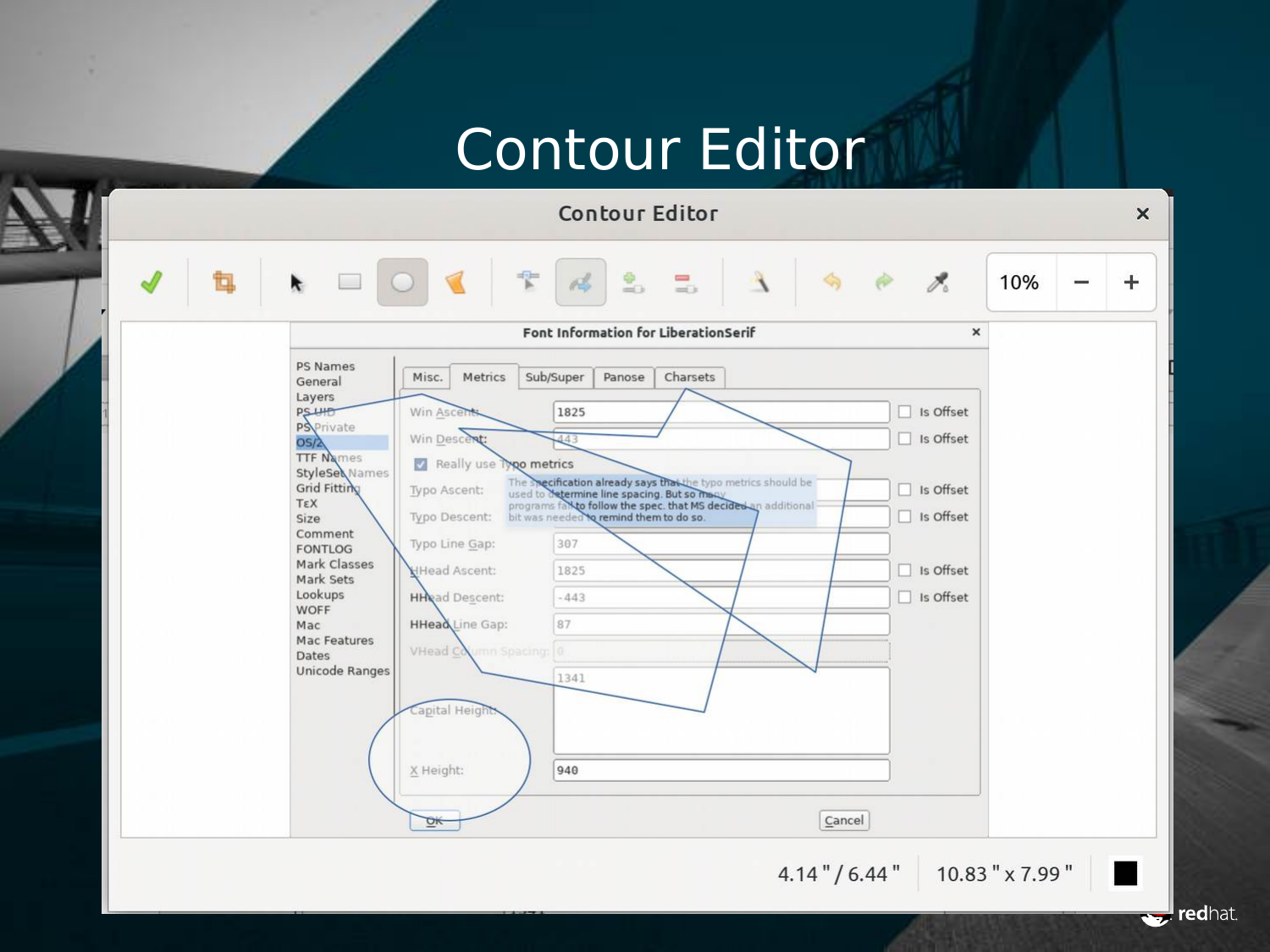#### Contour Editor



redhat.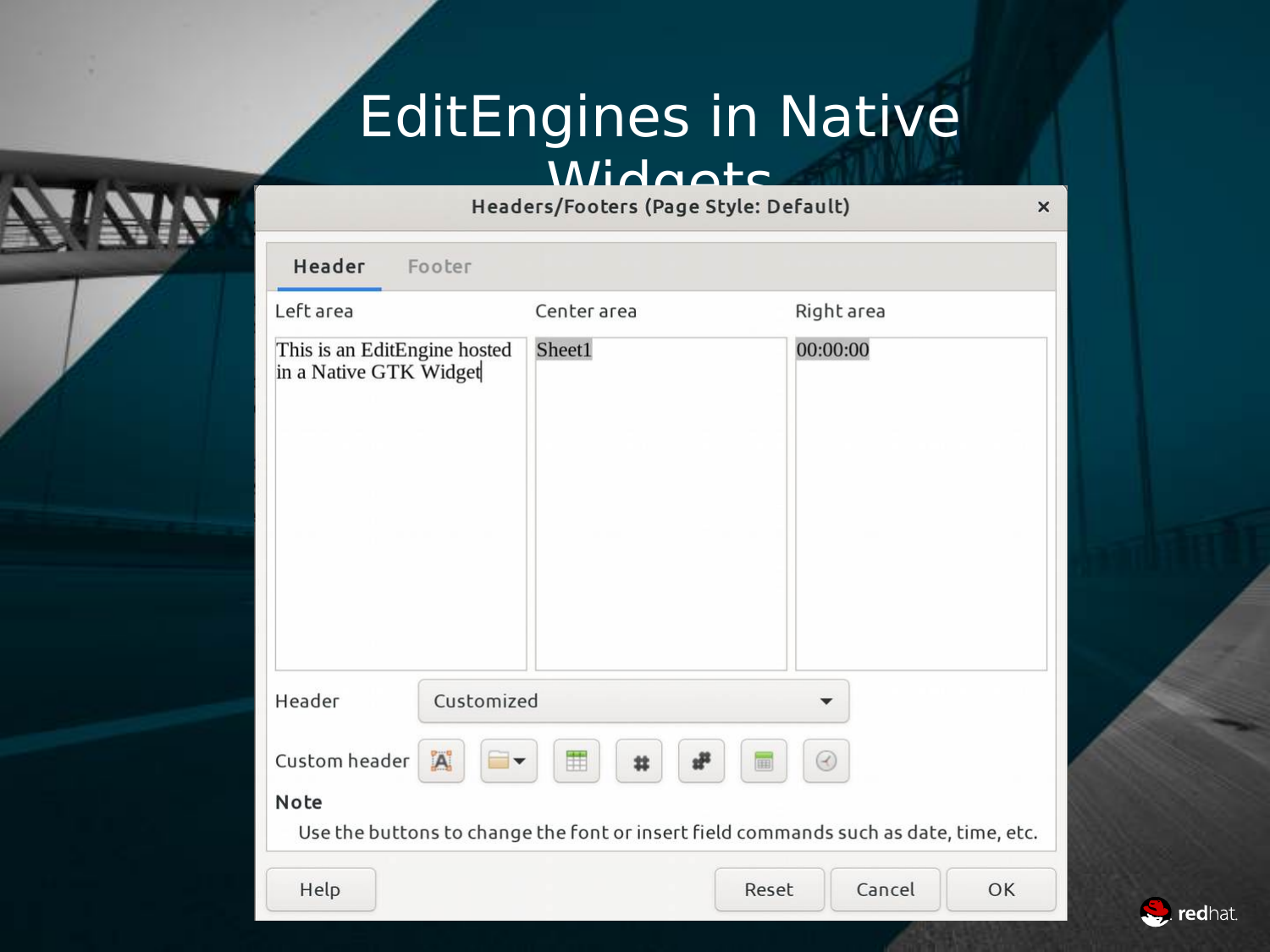# EditEngines in Native

## Widden Street<br>Headers/Footers (Page Style: Default)

| Header<br>Footer                                       |                                                                                      |              |
|--------------------------------------------------------|--------------------------------------------------------------------------------------|--------------|
| Left area                                              | Center area                                                                          | Right area   |
| This is an EditEngine hosted<br>in a Native GTK Widget | Sheet1                                                                               | 00:00:00     |
|                                                        |                                                                                      |              |
|                                                        |                                                                                      |              |
|                                                        |                                                                                      |              |
| Customized<br>Header                                   |                                                                                      |              |
| $\mathbf{A}^{\mathbf{c}}$<br>Custom header             | Ħ<br>£۴<br>盆<br>囲                                                                    | $\odot$      |
| Note                                                   | Use the buttons to change the font or insert field commands such as date, time, etc. |              |
| Help                                                   | Reset                                                                                | Cancel<br>OK |



 $\times$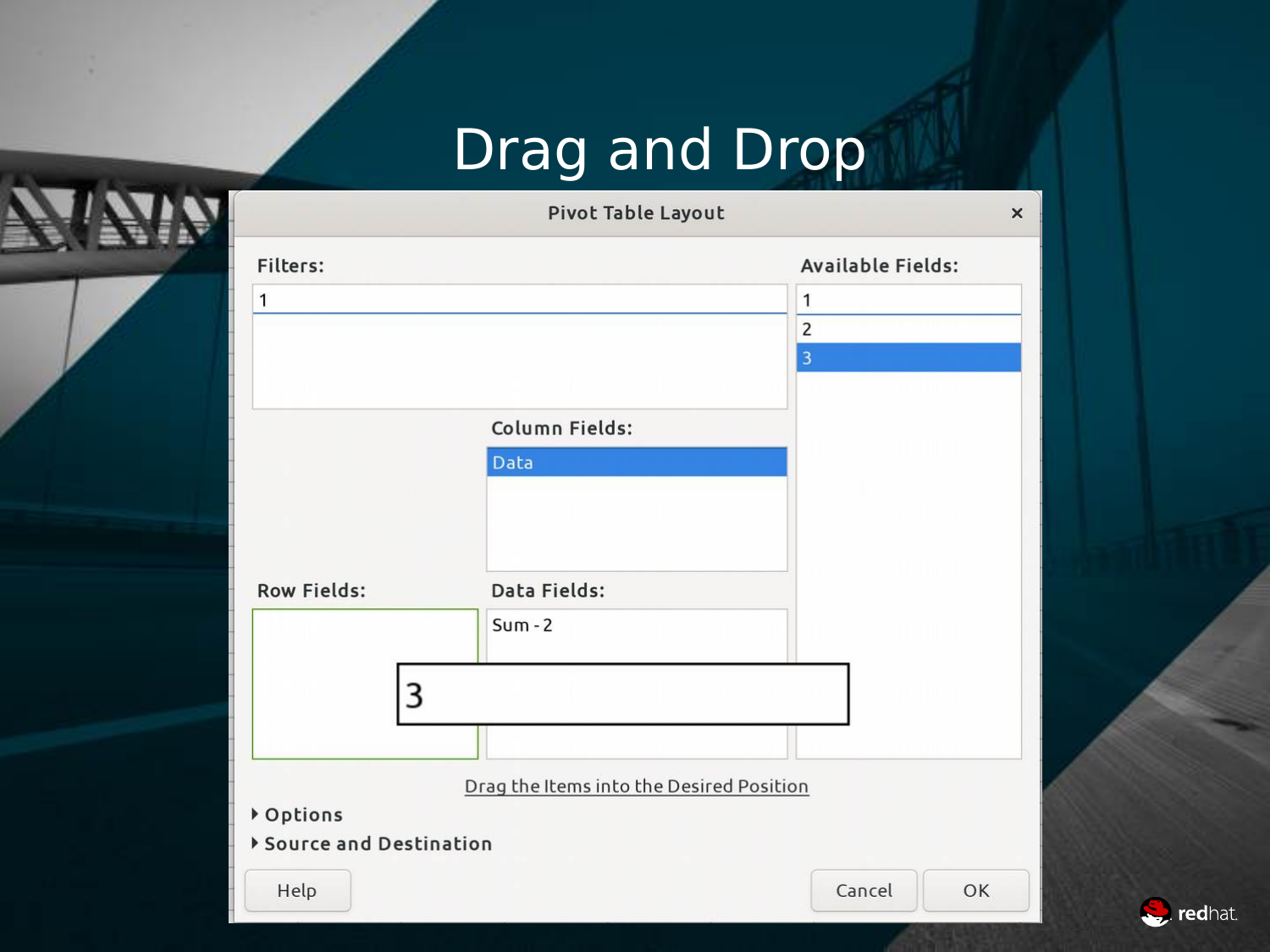## Drag and Drop



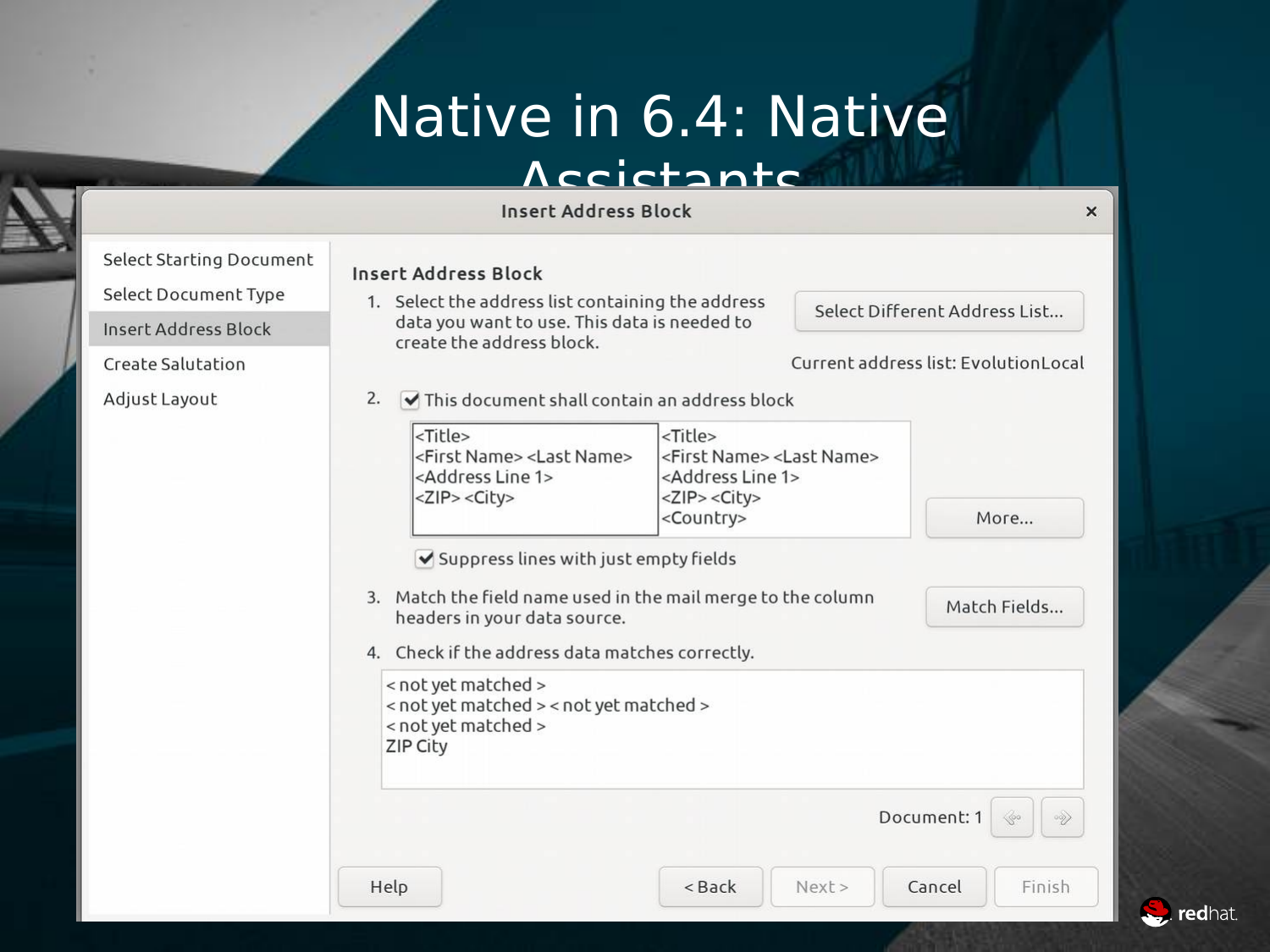## Native in 6.4: Native

#### Accictants

Insert Address Block

Create Salutation

Adjust Layout

#### Select Starting Document<br> **Insert Address Block**<br>
1 Select the address

Help

1. Select the address list containing the address data you want to use. This data is needed to create the address block.

Select Different Address List...

 $\times$ 

#### Current address list: EvolutionLocal

 $2.$  $\triangledown$  This document shall contain an address block

| $ $ -Title><br><first name=""> <last name=""></last></first> | $<$ Title><br><first name=""> <last name=""></last></first> |
|--------------------------------------------------------------|-------------------------------------------------------------|
| <address 1="" line=""></address>                             | <address 1="" line=""></address>                            |
| $ Z$ IP> $\lt$ City>                                         | <zip> <city></city></zip>                                   |
|                                                              | <country></country>                                         |

 $<$  Back

 $Next$ 

✔ Suppress lines with just empty fields

- 3. Match the field name used in the mail merge to the column headers in your data source.
- 4. Check if the address data matches correctly.

```
< not yet matched >
< not yet matched > < not yet matched >
< not yet matched >
ZIP City
```
Document: 1

Cancel



Finish

More...

Match Fields...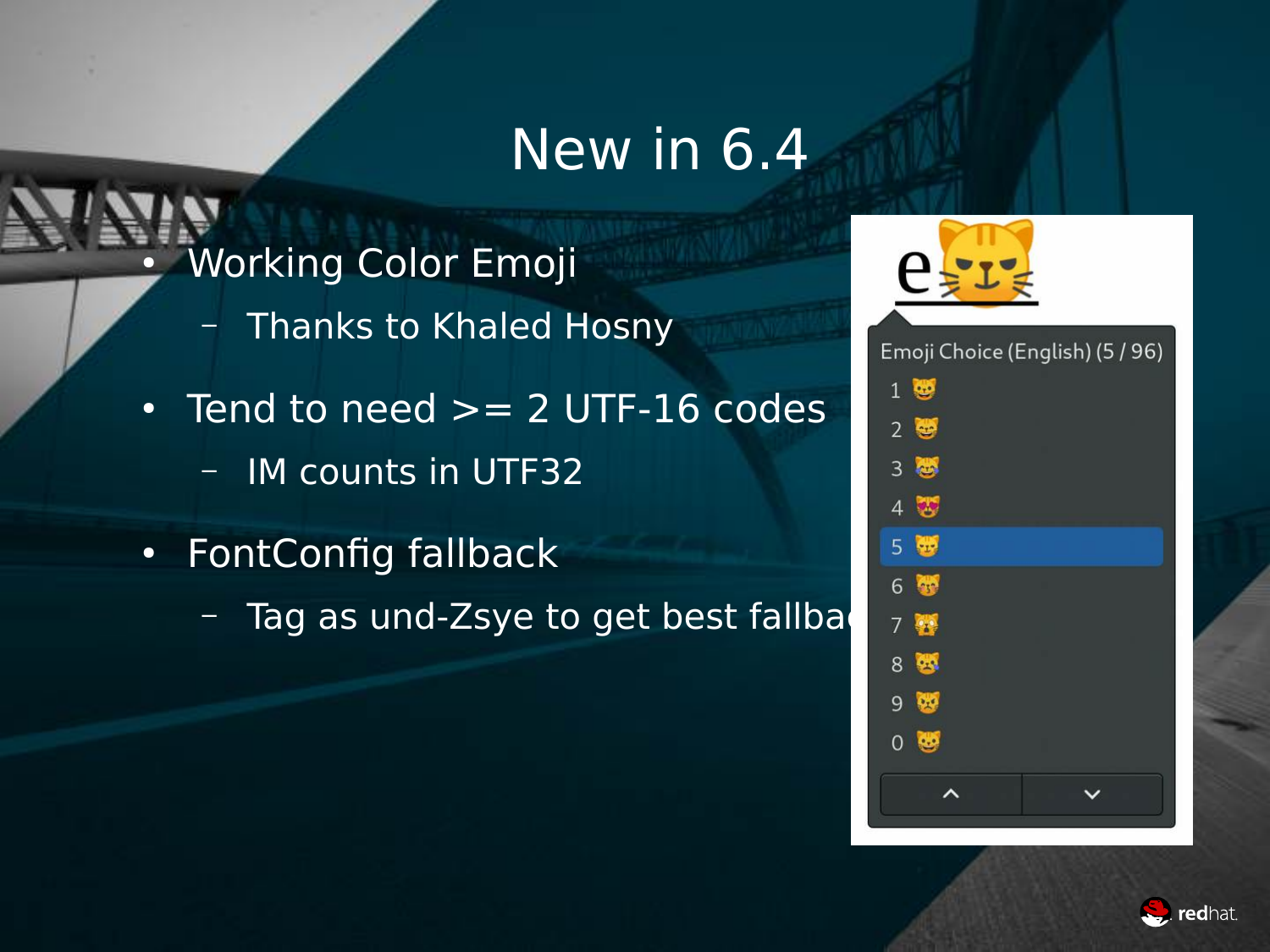#### New in 6.4

- Working Color Emoji
	- Thanks to Khaled Hosny
- $\cdot$  Tend to need  $\gt$  = 2 UTF-16 codes
	- IM counts in UTF32
- FontConfig fallback
	- $-$  Tag as und-Zsye to get best fallba





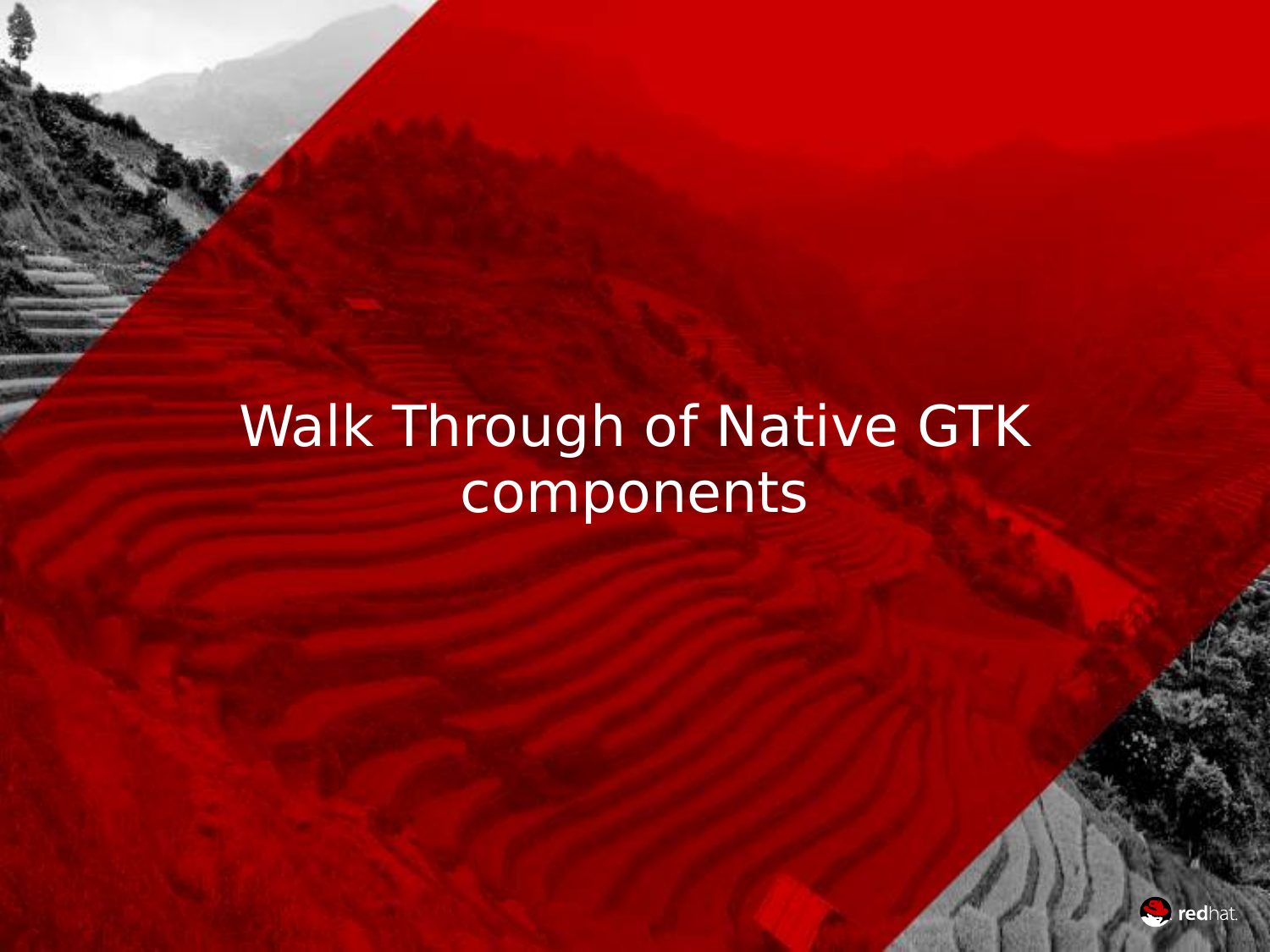## Walk Through of Native GTK components

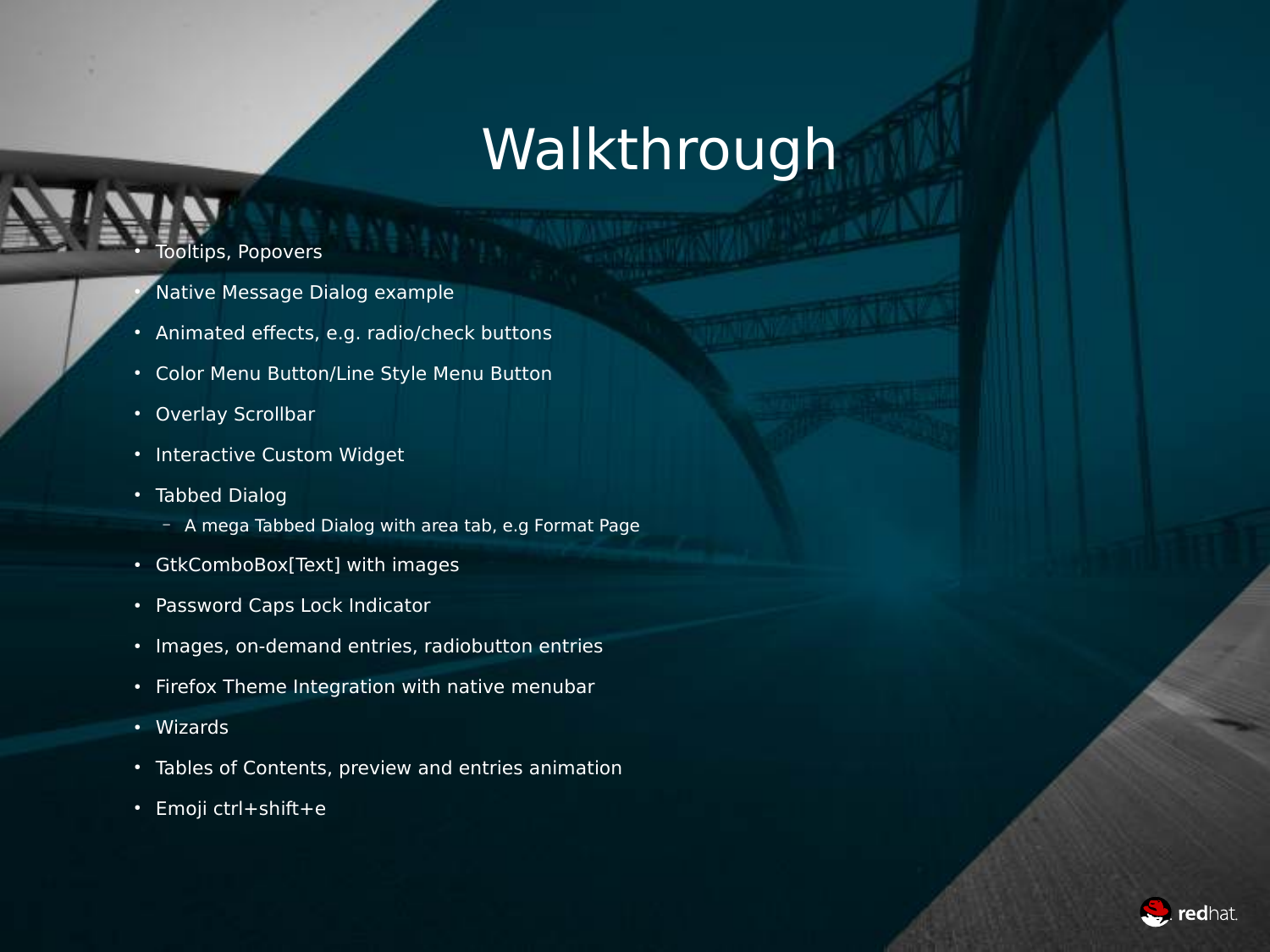### Walkthrough

#### **Tooltips, Popovers**

- Native Message Dialog example
- Animated effects, e.g. radio/check buttons
- Color Menu Button/Line Style Menu Button
- Overlay Scrollbar
- Interactive Custom Widget
- Tabbed Dialog
	- A mega Tabbed Dialog with area tab, e.g Format Page
- GtkComboBox[Text] with images
- Password Caps Lock Indicator
- Images, on-demand entries, radiobutton entries
- Firefox Theme Integration with native menubar
- Wizards
- Tables of Contents, preview and entries animation
- Emoji ctrl+shift+e

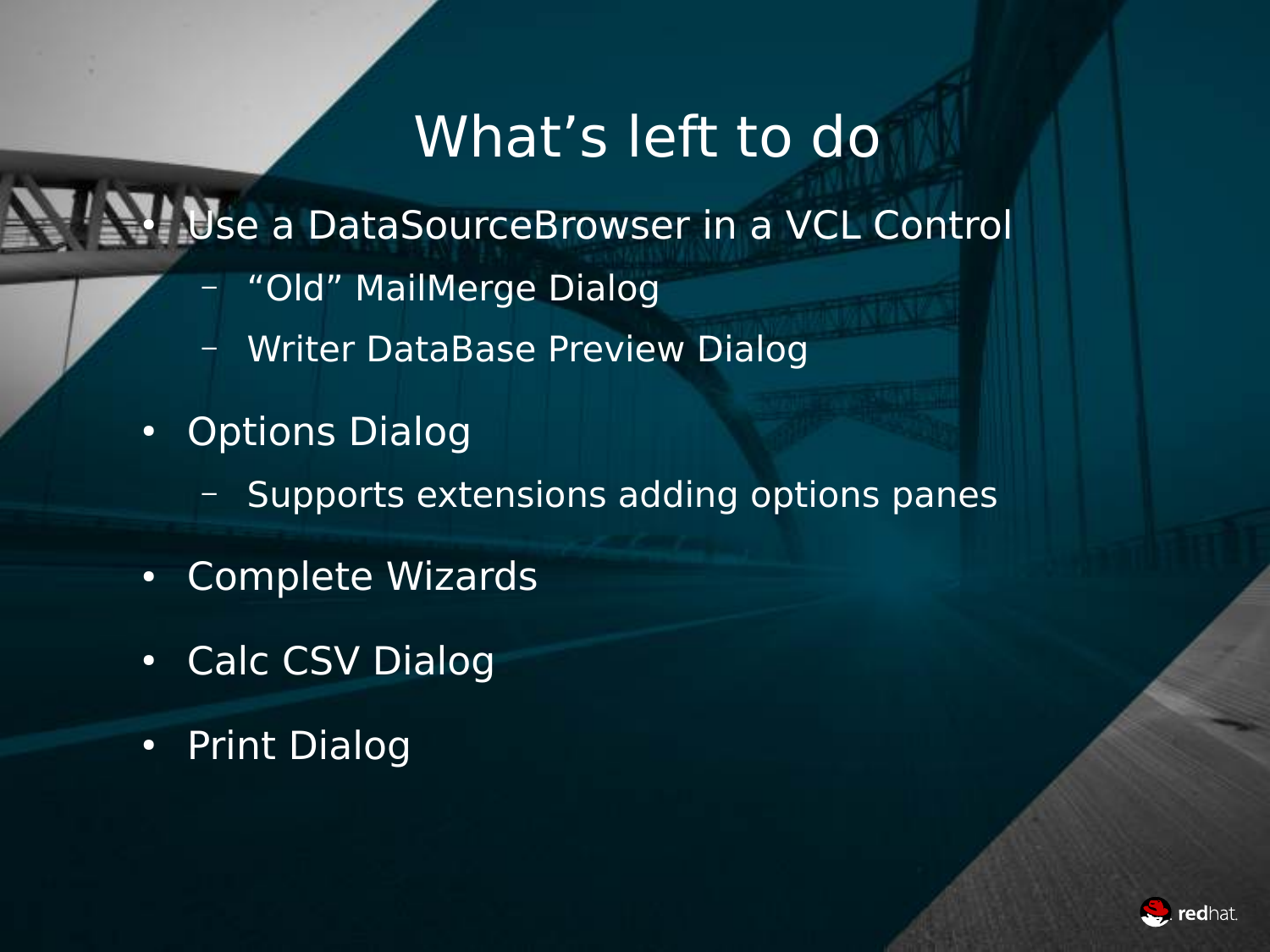#### What's left to do

#### Use a DataSourceBrowser in a VCL Control

- "Old" MailMerge Dialog
- Writer DataBase Preview Dialog
- Options Dialog
	- Supports extensions adding options panes
- Complete Wizards
- Calc CSV Dialog
- Print Dialog